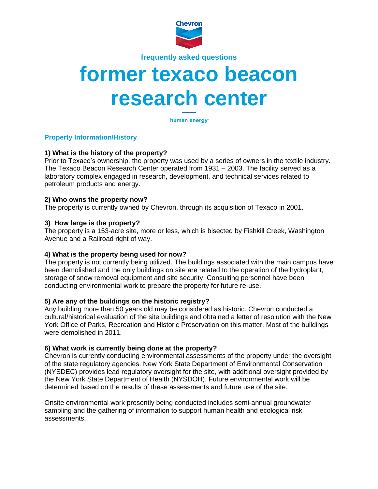

**frequently asked questions**

# **former texaco beacon research center**

human energy<sup>®</sup>

# **Property Information/History**

# **1) What is the history of the property?**

Prior to Texaco's ownership, the property was used by a series of owners in the textile industry. The Texaco Beacon Research Center operated from 1931 – 2003. The facility served as a laboratory complex engaged in research, development, and technical services related to petroleum products and energy.

### **2) Who owns the property now?**

The property is currently owned by Chevron, through its acquisition of Texaco in 2001.

### **3) How large is the property?**

The property is a 153-acre site, more or less, which is bisected by Fishkill Creek, Washington Avenue and a Railroad right of way.

### **4) What is the property being used for now?**

The property is not currently being utilized. The buildings associated with the main campus have been demolished and the only buildings on site are related to the operation of the hydroplant, storage of snow removal equipment and site security. Consulting personnel have been conducting environmental work to prepare the property for future re-use.

# **5) Are any of the buildings on the historic registry?**

Any building more than 50 years old may be considered as historic. Chevron conducted a cultural/historical evaluation of the site buildings and obtained a letter of resolution with the New York Office of Parks, Recreation and Historic Preservation on this matter. Most of the buildings were demolished in 2011.

# **6) What work is currently being done at the property?**

Chevron is currently conducting environmental assessments of the property under the oversight of the state regulatory agencies. New York State Department of Environmental Conservation (NYSDEC) provides lead regulatory oversight for the site, with additional oversight provided by the New York State Department of Health (NYSDOH). Future environmental work will be determined based on the results of these assessments and future use of the site.

Onsite environmental work presently being conducted includes semi-annual groundwater sampling and the gathering of information to support human health and ecological risk assessments.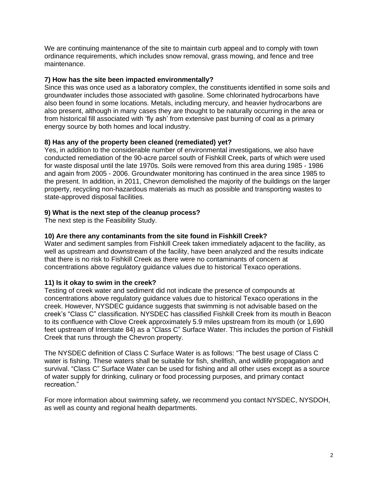We are continuing maintenance of the site to maintain curb appeal and to comply with town ordinance requirements, which includes snow removal, grass mowing, and fence and tree maintenance.

### **7) How has the site been impacted environmentally?**

Since this was once used as a laboratory complex, the constituents identified in some soils and groundwater includes those associated with gasoline. Some chlorinated hydrocarbons have also been found in some locations. Metals, including mercury, and heavier hydrocarbons are also present, although in many cases they are thought to be naturally occurring in the area or from historical fill associated with 'fly ash' from extensive past burning of coal as a primary energy source by both homes and local industry.

# **8) Has any of the property been cleaned (remediated) yet?**

Yes, in addition to the considerable number of environmental investigations, we also have conducted remediation of the 90-acre parcel south of Fishkill Creek, parts of which were used for waste disposal until the late 1970s. Soils were removed from this area during 1985 - 1986 and again from 2005 - 2006. Groundwater monitoring has continued in the area since 1985 to the present. In addition, in 2011, Chevron demolished the majority of the buildings on the larger property, recycling non-hazardous materials as much as possible and transporting wastes to state-approved disposal facilities.

# **9) What is the next step of the cleanup process?**

The next step is the Feasibility Study.

# **10) Are there any contaminants from the site found in Fishkill Creek?**

Water and sediment samples from Fishkill Creek taken immediately adjacent to the facility, as well as upstream and downstream of the facility, have been analyzed and the results indicate that there is no risk to Fishkill Creek as there were no contaminants of concern at concentrations above regulatory guidance values due to historical Texaco operations.

# **11) Is it okay to swim in the creek?**

Testing of creek water and sediment did not indicate the presence of compounds at concentrations above regulatory guidance values due to historical Texaco operations in the creek. However, NYSDEC guidance suggests that swimming is not advisable based on the creek's "Class C" classification. NYSDEC has classified Fishkill Creek from its mouth in Beacon to its confluence with Clove Creek approximately 5.9 miles upstream from its mouth (or 1,690 feet upstream of Interstate 84) as a "Class C" Surface Water. This includes the portion of Fishkill Creek that runs through the Chevron property.

The NYSDEC definition of Class C Surface Water is as follows: "The best usage of Class C water is fishing. These waters shall be suitable for fish, shellfish, and wildlife propagation and survival. "Class C" Surface Water can be used for fishing and all other uses except as a source of water supply for drinking, culinary or food processing purposes, and primary contact recreation."

For more information about swimming safety, we recommend you contact NYSDEC, NYSDOH, as well as county and regional health departments.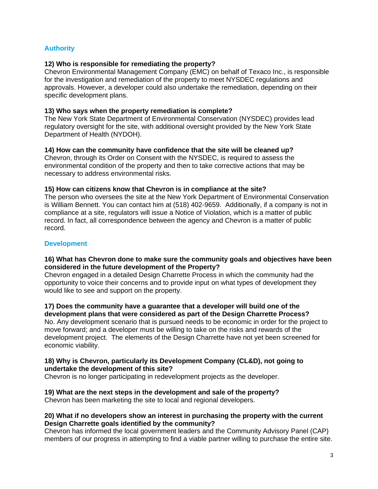# **Authority**

### **12) Who is responsible for remediating the property?**

Chevron Environmental Management Company (EMC) on behalf of Texaco Inc., is responsible for the investigation and remediation of the property to meet NYSDEC regulations and approvals. However, a developer could also undertake the remediation, depending on their specific development plans.

### **13) Who says when the property remediation is complete?**

The New York State Department of Environmental Conservation (NYSDEC) provides lead regulatory oversight for the site, with additional oversight provided by the New York State Department of Health (NYDOH).

### **14) How can the community have confidence that the site will be cleaned up?**

Chevron, through its Order on Consent with the NYSDEC, is required to assess the environmental condition of the property and then to take corrective actions that may be necessary to address environmental risks.

### **15) How can citizens know that Chevron is in compliance at the site?**

The person who oversees the site at the New York Department of Environmental Conservation is William Bennett. You can contact him at (518) 402-9659. Additionally, if a company is not in compliance at a site, regulators will issue a Notice of Violation, which is a matter of public record. In fact, all correspondence between the agency and Chevron is a matter of public record.

### **Development**

### **16) What has Chevron done to make sure the community goals and objectives have been considered in the future development of the Property?**

Chevron engaged in a detailed Design Charrette Process in which the community had the opportunity to voice their concerns and to provide input on what types of development they would like to see and support on the property.

# **17) Does the community have a guarantee that a developer will build one of the**

**development plans that were considered as part of the Design Charrette Process?** No. Any development scenario that is pursued needs to be economic in order for the project to move forward; and a developer must be willing to take on the risks and rewards of the development project. The elements of the Design Charrette have not yet been screened for economic viability.

# **18) Why is Chevron, particularly its Development Company (CL&D), not going to undertake the development of this site?**

Chevron is no longer participating in redevelopment projects as the developer.

# **19) What are the next steps in the development and sale of the property?**

Chevron has been marketing the site to local and regional developers.

### **20) What if no developers show an interest in purchasing the property with the current Design Charrette goals identified by the community?**

Chevron has informed the local government leaders and the Community Advisory Panel (CAP) members of our progress in attempting to find a viable partner willing to purchase the entire site.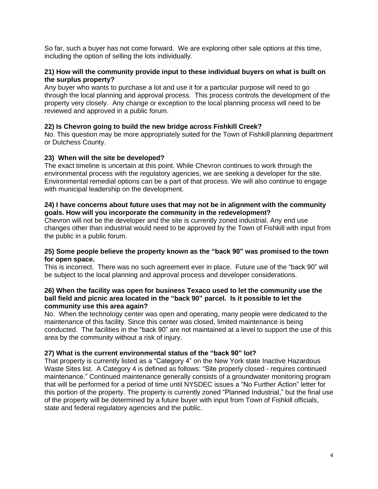So far, such a buyer has not come forward. We are exploring other sale options at this time, including the option of selling the lots individually.

### **21) How will the community provide input to these individual buyers on what is built on the surplus property?**

Any buyer who wants to purchase a lot and use it for a particular purpose will need to go through the local planning and approval process. This process controls the development of the property very closely. Any change or exception to the local planning process will need to be reviewed and approved in a public forum.

### **22) Is Chevron going to build the new bridge across Fishkill Creek?**

No. This question may be more appropriately suited for the Town of Fishkill planning department or Dutchess County.

### **23) When will the site be developed?**

The exact timeline is uncertain at this point. While Chevron continues to work through the environmental process with the regulatory agencies, we are seeking a developer for the site. Environmental remedial options can be a part of that process. We will also continue to engage with municipal leadership on the development.

### **24) I have concerns about future uses that may not be in alignment with the community goals. How will you incorporate the community in the redevelopment?**

Chevron will not be the developer and the site is currently zoned industrial. Any end use changes other than industrial would need to be approved by the Town of Fishkill with input from the public in a public forum.

### **25) Some people believe the property known as the "back 90" was promised to the town for open space.**

This is incorrect. There was no such agreement ever in place. Future use of the "back 90" will be subject to the local planning and approval process and developer considerations.

### **26) When the facility was open for business Texaco used to let the community use the ball field and picnic area located in the "back 90" parcel. Is it possible to let the community use this area again?**

No. When the technology center was open and operating, many people were dedicated to the maintenance of this facility. Since this center was closed, limited maintenance is being conducted. The facilities in the "back 90" are not maintained at a level to support the use of this area by the community without a risk of injury.

### **27) What is the current environmental status of the "back 90" lot?**

That property is currently listed as a "Category 4" on the New York state Inactive Hazardous Waste Sites list. A Category 4 is defined as follows: "Site properly closed - requires continued maintenance." Continued maintenance generally consists of a groundwater monitoring program that will be performed for a period of time until NYSDEC issues a "No Further Action" letter for this portion of the property. The property is currently zoned "Planned Industrial," but the final use of the property will be determined by a future buyer with input from Town of Fishkill officials, state and federal regulatory agencies and the public.